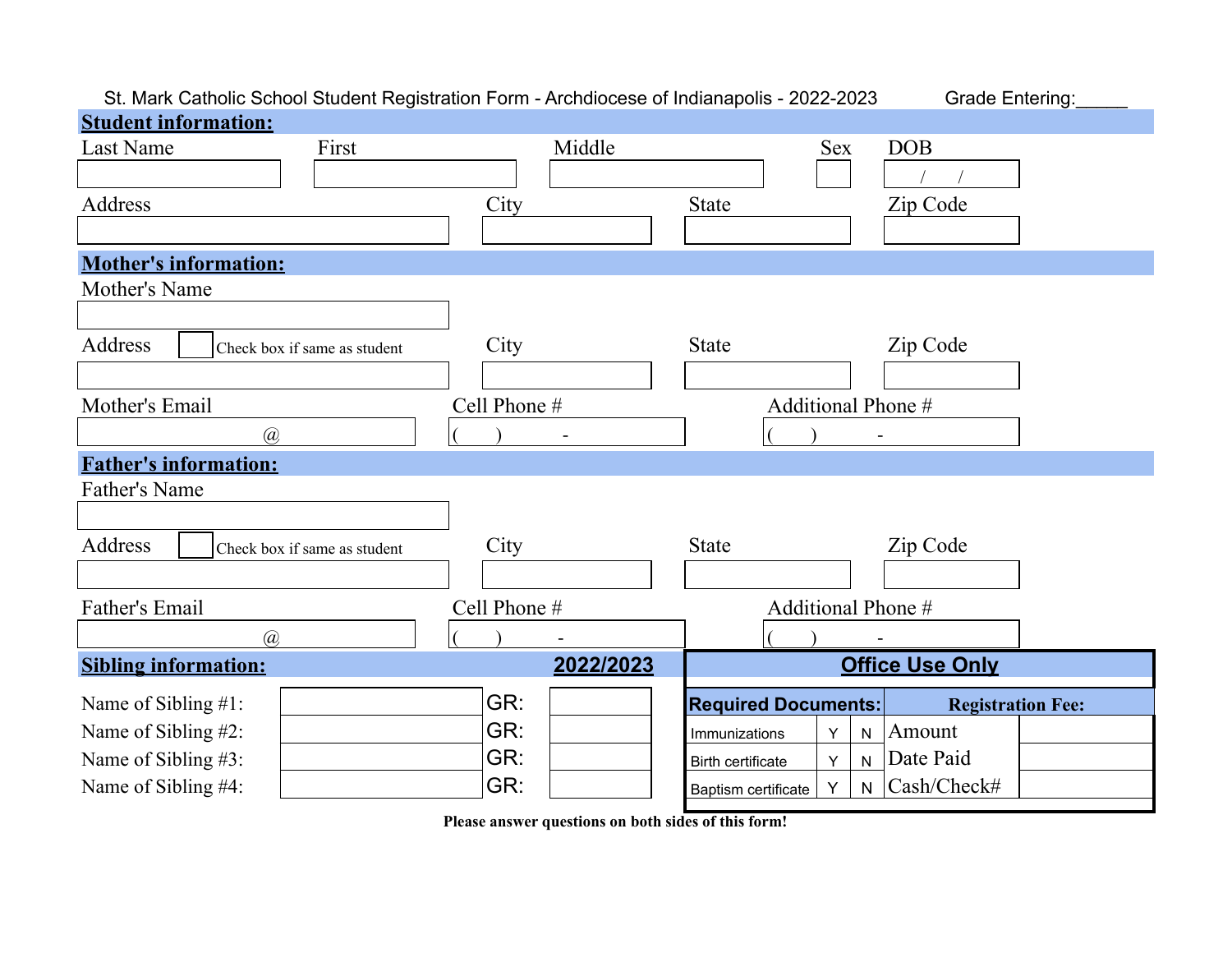## St. Mark Catholic School Student Registration Form - Archdiocese of Indianapolis - 2022-2023 Grade Entering:

| <b>Student information:</b>             |              |                                                         |
|-----------------------------------------|--------------|---------------------------------------------------------|
| <b>Last Name</b><br>First               | Middle       | <b>DOB</b><br><b>Sex</b>                                |
|                                         |              |                                                         |
| Address                                 | City         | <b>State</b><br>Zip Code                                |
|                                         |              |                                                         |
| <b>Mother's information:</b>            |              |                                                         |
| Mother's Name                           |              |                                                         |
|                                         |              |                                                         |
| Address<br>Check box if same as student | City         | Zip Code<br><b>State</b>                                |
|                                         |              |                                                         |
| Mother's Email                          | Cell Phone # | Additional Phone #                                      |
| $\overline{a}$                          |              |                                                         |
| <b>Father's information:</b>            |              |                                                         |
| <b>Father's Name</b>                    |              |                                                         |
|                                         |              |                                                         |
| Address<br>Check box if same as student | City         | Zip Code<br><b>State</b>                                |
|                                         |              |                                                         |
| Father's Email                          | Cell Phone # | Additional Phone #                                      |
| $\mathcal{D}_{\mathcal{A}}$             |              |                                                         |
| <b>Sibling information:</b>             | 2022/2023    | <b>Office Use Only</b>                                  |
| Name of Sibling #1:                     | GR:          | <b>Required Documents:</b><br><b>Registration Fee:</b>  |
| Name of Sibling #2:                     | GR:          | Amount<br>Υ<br>$\mathsf{N}$<br>Immunizations            |
| Name of Sibling #3:                     | GR:          | Date Paid<br>Υ<br>${\sf N}$<br>Birth certificate        |
| Name of Sibling #4:                     | GR:          | Cash/Check#<br>Y<br>$\mathsf{N}$<br>Baptism certificate |

**Please answer questions on both sides of this form!**